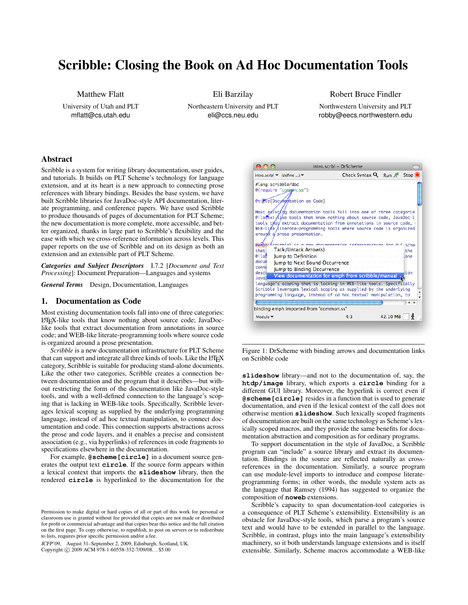# Scribble: Closing the Book on Ad Hoc Documentation Tools

Matthew Flatt

University of Utah and PLT mflatt@cs.utah.edu

Eli Barzilay Northeastern University and PLT eli@ccs.neu.edu

Robert Bruce Findler

Northwestern University and PLT robby@eecs.northwestern.edu

# Abstract

Scribble is a system for writing library documentation, user guides, and tutorials. It builds on PLT Scheme's technology for language extension, and at its heart is a new approach to connecting prose references with library bindings. Besides the base system, we have built Scribble libraries for JavaDoc-style API documentation, literate programming, and conference papers. We have used Scribble to produce thousands of pages of documentation for PLT Scheme; the new documentation is more complete, more accessible, and better organized, thanks in large part to Scribble's flexibility and the ease with which we cross-reference information across levels. This paper reports on the use of Scribble and on its design as both an extension and an extensible part of PLT Scheme.

*Categories and Subject Descriptors* I.7.2 [*Document and Text Processing*]: Document Preparation—Languages and systems

*General Terms* Design, Documentation, Languages

## 1. Documentation as Code

Most existing documentation tools fall into one of three categories: LATEX-like tools that know nothing about source code; JavaDoclike tools that extract documentation from annotations in source code; and WEB-like literate-programming tools where source code is organized around a prose presentation.

*Scribble* is a new documentation infrastructure for PLT Scheme that can support and integrate all three kinds of tools. Like the L<sup>T</sup>FX category, Scribble is suitable for producing stand-alone documents. Like the other two categories, Scribble creates a connection between documentation and the program that it describes—but without restricting the form of the documentation like JavaDoc-style tools, and with a well-defined connection to the language's scoping that is lacking in WEB-like tools. Specifically, Scribble leverages lexical scoping as supplied by the underlying programming language, instead of ad hoc textual manipulation, to connect documentation and code. This connection supports abstractions across the prose and code layers, and it enables a precise and consistent association (e.g., via hyperlinks) of references in code fragments to specifications elsewhere in the documentation.

For example, **@scheme[circle]** in a document source generates the output text **circle**. If the source form appears within a lexical context that imports the **slideshow** library, then the rendered **circle** is hyperlinked to the documentation for the

*ICFP'09,* August 31–September 2, 2009, Edinburgh, Scotland, UK. Copyright © 2009 ACM 978-1-60558-332-7/09/08... \$5.00



Figure 1: DrScheme with binding arrows and documentation links on Scribble code

**slideshow** library—and not to the documentation of, say, the **htdp/image** library, which exports a **circle** binding for a different GUI library. Moreover, the hyperlink is correct even if **@scheme[circle]** resides in a function that is used to generate documentation, and even if the lexical context of the call does not otherwise mention **slideshow**. Such lexically scoped fragments of documentation are built on the same technology as Scheme's lexically scoped macros, and they provide the same benefits for documentation abstraction and composition as for ordinary programs.

To support documentation in the style of JavaDoc, a Scribble program can "include" a source library and extract its documentation. Bindings in the source are reflected naturally as crossreferences in the documentation. Similarly, a source program can use module-level imports to introduce and compose literateprogramming forms; in other words, the module system acts as the language that Ramsey (1994) has suggested to organize the composition of **noweb** extensions.

Scribble's capacity to span documentation-tool categories is a consequence of PLT Scheme's extensibility. Extensibility is an obstacle for JavaDoc-style tools, which parse a program's source text and would have to be extended in parallel to the language. Scribble, in contrast, plugs into the main language's extensibility machinery, so it both understands language extensions and is itself extensible. Similarly, Scheme macros accommodate a WEB-like

Permission to make digital or hard copies of all or part of this work for personal or classroom use is granted without fee provided that copies are not made or distributed for profit or commercial advantage and that copies bear this notice and the full citation on the first page. To copy otherwise, to republish, to post on servers or to redistribute to lists, requires prior specific permission and/or a fee.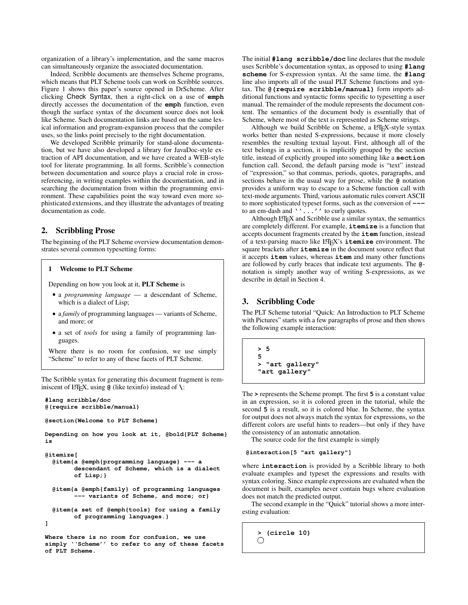organization of a library's implementation, and the same macros can simultaneously organize the associated documentation.

Indeed, Scribble documents are themselves Scheme programs, which means that PLT Scheme tools can work on Scribble sources. Figure 1 shows this paper's source opened in DrScheme. After clicking Check Syntax, then a right-click on a use of **emph** directly accesses the documentation of the **emph** function, even though the surface syntax of the document source does not look like Scheme. Such documentation links are based on the same lexical information and program-expansion process that the compiler uses, so the links point precisely to the right documentation.

We developed Scribble primarily for stand-alone documentation, but we have also developed a library for JavaDoc-style extraction of API documentation, and we have created a WEB-style tool for literate programming. In all forms, Scribble's connection between documentation and source plays a crucial role in crossreferencing, in writing examples within the documentation, and in searching the documentation from within the programming environment. These capabilities point the way toward even more sophisticated extensions, and they illustrate the advantages of treating documentation as code.

# 2. Scribbling Prose

The beginning of the PLT Scheme overview documentation demonstrates several common typesetting forms:

## 1 Welcome to PLT Scheme

Depending on how you look at it, PLT Scheme is

- *•* a *programming language* a descendant of Scheme, which is a dialect of Lisp;
- *•* a *family* of programming languages variants of Scheme, and more; or
- *•* a set of *tools* for using a family of programming languages.

Where there is no room for confusion, we use simply "Scheme" to refer to any of these facets of PLT Scheme.

The Scribble syntax for generating this document fragment is reminiscent of L<sup>AT</sup>EX, using  $\phi$  (like texinfo) instead of  $\lambda$ :

```
#lang scribble/doc
@(require scribble/manual)
```
**@section{Welcome to PLT Scheme}**

**Depending on how you look at it, @bold{PLT Scheme} is**

```
@itemize[
 @item{a @emph{programming language} --- a
       descendant of Scheme, which is a dialect
       of Lisp;}
```

```
@item{a @emph{family} of programming languages
      --- variants of Scheme, and more; or}
```

```
@item{a set of @emph{tools} for using a family
        of programming languages.}
]
```

```
Where there is no room for confusion, we use
simply ''Scheme'' to refer to any of these facets
of PLT Scheme.
```
The initial **#lang scribble/doc** line declares that the module uses Scribble's documentation syntax, as opposed to using **#lang scheme** for S-expression syntax. At the same time, the **#lang** line also imports all of the usual PLT Scheme functions and syntax. The **@(require scribble/manual)** form imports additional functions and syntactic forms specific to typesetting a user manual. The remainder of the module represents the document content. The semantics of the document body is essentially that of Scheme, where most of the text is represented as Scheme strings.

Although we build Scribble on Scheme, a LATEX-style syntax works better than nested S-expressions, because it more closely resembles the resulting textual layout. First, although all of the text belongs in a section, it is implicitly grouped by the section title, instead of explicitly grouped into something like a **section** function call. Second, the default parsing mode is "text" instead of "expression," so that commas, periods, quotes, paragraphs, and sections behave in the usual way for prose, while the **@** notation provides a uniform way to escape to a Scheme function call with text-mode arguments. Third, various automatic rules convert ASCII to more sophisticated typeset forms, such as the conversion of **--** to an em-dash and **''...''** to curly quotes.

Although L<sup>AT</sup>EX and Scribble use a similar syntax, the semantics are completely different. For example, **itemize** is a function that accepts document fragments created by the **item** function, instead of a text-parsing macro like LATEX's **itemize** environment. The square brackets after **itemize** in the document source reflect that it accepts **item** values, whereas **item** and many other functions are followed by curly braces that indicate text arguments. The **@** notation is simply another way of writing S-expressions, as we describe in detail in Section 4.

# 3. Scribbling Code

The PLT Scheme tutorial "Quick: An Introduction to PLT Scheme with Pictures" starts with a few paragraphs of prose and then shows the following example interaction:

```
> 5
5
> "art gallery"
"art gallery"
```
The **>** represents the Scheme prompt. The first **5** is a constant value in an expression, so it is colored green in the tutorial, while the second **5** is a result, so it is colored blue. In Scheme, the syntax for output does not always match the syntax for expressions, so the different colors are useful hints to readers—but only if they have the consistency of an automatic annotation.

The source code for the first example is simply

```
@interaction[5 "art gallery"]
```
where **interaction** is provided by a Scribble library to both evaluate examples and typeset the expressions and results with syntax coloring. Since example expressions are evaluated when the document is built, examples never contain bugs where evaluation does not match the predicted output.

The second example in the "Quick" tutorial shows a more interesting evaluation:

```
> (circle 10)∩
```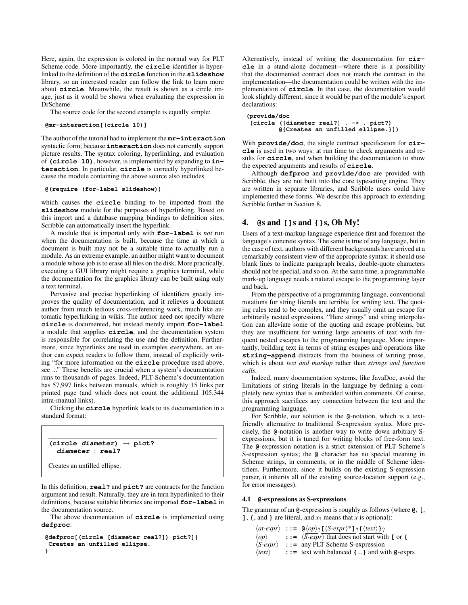Here, again, the expression is colored in the normal way for PLT Scheme code. More importantly, the **circle** identifier is hyperlinked to the definition of the **circle** function in the **slideshow** library, so an interested reader can follow the link to learn more about **circle**. Meanwhile, the result is shown as a circle image, just as it would be shown when evaluating the expression in DrScheme.

The source code for the second example is equally simple:

#### **@mr-interaction[(circle 10)]**

The author of the tutorial had to implement the **mr-interaction** syntactic form, because **interaction** does not currently support picture results. The syntax coloring, hyperlinking, and evaluation of **(circle 10)**, however, is implemented by expanding to **interaction**. In particular, **circle** is correctly hyperlinked because the module containing the above source also includes

## **@(require (for-label slideshow))**

which causes the **circle** binding to be imported from the **slideshow** module for the purposes of hyperlinking. Based on this import and a database mapping bindings to definition sites, Scribble can automatically insert the hyperlink.

A module that is imported only with **for-label** is *not* run when the documentation is built, because the time at which a document is built may not be a suitable time to actually run a module. As an extreme example, an author might want to document a module whose job is to erase all files on the disk. More practically, executing a GUI library might require a graphics terminal, while the documentation for the graphics library can be built using only a text terminal.

Pervasive and precise hyperlinking of identifiers greatly improves the quality of documentation, and it relieves a document author from much tedious cross-referencing work, much like automatic hyperlinking in wikis. The author need not specify where **circle** is documented, but instead merely import **for-label** a module that supplies **circle**, and the documentation system is responsible for correlating the use and the definition. Furthermore, since hyperlinks are used in examples everywhere, an author can expect readers to follow them, instead of explicitly writing "for more information on the **circle** procedure used above, see ..." These benefits are crucial when a system's documentation runs to thousands of pages. Indeed, PLT Scheme's documentation has 57,997 links between manuals, which is roughly 15 links per printed page (and which does not count the additional 105,344 intra-manual links).

Clicking the **circle** hyperlink leads to its documentation in a standard format:

```
(circle diameter) → pict?
 diameter : real?
```
Creates an unfilled ellipse.

In this definition, **real?** and **pict?** are contracts for the function argument and result. Naturally, they are in turn hyperlinked to their definitions, because suitable libraries are imported **for-label** in the documentation source.

The above documentation of **circle** is implemented using **defproc**:

```
@defproc[(circle [diameter real?]) pict?]{
Creates an unfilled ellipse.
}
```
Alternatively, instead of writing the documentation for **circle** in a stand-alone document—where there is a possibility that the documented contract does not match the contract in the implementation—the documentation could be written with the implementation of **circle**. In that case, the documentation would look slightly different, since it would be part of the module's export declarations:

```
(provide/doc
[circle ([diameter real?] . -> . pict?)
        @{Creates an unfilled ellipse.}])
```
With **provide/doc**, the single contract specification for **circle** is used in two ways: at run time to check arguments and results for **circle**, and when building the documentation to show the expected arguments and results of **circle**.

Although **defproc** and **provide/doc** are provided with Scribble, they are not built into the core typesetting engine. They are written in separate libraries, and Scribble users could have implemented these forms. We describe this approach to extending Scribble further in Section 8.

# 4. **@**s and **[]**s and **{}**s, Oh My!

Users of a text-markup language experience first and foremost the language's concrete syntax. The same is true of any language, but in the case of text, authors with different backgrounds have arrived at a remarkably consistent view of the appropriate syntax: it should use blank lines to indicate paragraph breaks, double-quote characters should not be special, and so on. At the same time, a programmable mark-up language needs a natural escape to the programming layer and back.

From the perspective of a programming language, conventional notations for string literals are terrible for writing text. The quoting rules tend to be complex, and they usually omit an escape for arbitrarily nested expressions. "Here strings" and string interpolation can alleviate some of the quoting and escape problems, but they are insufficient for writing large amounts of text with frequent nested escapes to the programming language. More importantly, building text in terms of string escapes and operations like **string-append** distracts from the business of writing prose, which is about *text and markup* rather than *strings and function calls*.

Indeed, many documentation systems, like JavaDoc, avoid the limitations of string literals in the language by defining a completely new syntax that is embedded within comments. Of course, this approach sacrifices any connection between the text and the programming language.

For Scribble, our solution is the **@**-notation, which is a textfriendly alternative to traditional S-expression syntax. More precisely, the **@**-notation is another way to write down arbitrary Sexpressions, but it is tuned for writing blocks of free-form text. The **@**-expression notation is a strict extension of PLT Scheme's S-expression syntax; the **@** character has no special meaning in Scheme strings, in comments, or in the middle of Scheme identifiers. Furthermore, since it builds on the existing S-expression parser, it inherits all of the existing source-location support (e.g., for error messages).

#### 4.1 **@**-expressions as S-expressions

The grammar of an **@**-expression is roughly as follows (where **@**, **[**, **]**, **{**, and **}** are literal, and  $x_2$  means that *x* is optional):

|                                 | $\langle at-expr \rangle$ : = $\mathfrak{g} \langle op \rangle_? \left[ \langle S-expr \rangle^* \right] \left. \right] \left\langle \langle text \rangle \right]$ |
|---------------------------------|--------------------------------------------------------------------------------------------------------------------------------------------------------------------|
| $\langle op \rangle$            | $\mathbf{f}$ : = $\langle S\text{-}expr \rangle$ that does not start with [ or {                                                                                   |
| $\langle S\text{-}expr \rangle$ | $\therefore$ = any PLT Scheme S-expression                                                                                                                         |
| $\langle text \rangle$          | $\cdot$ : = text with balanced {} and with $\theta$ -exprs                                                                                                         |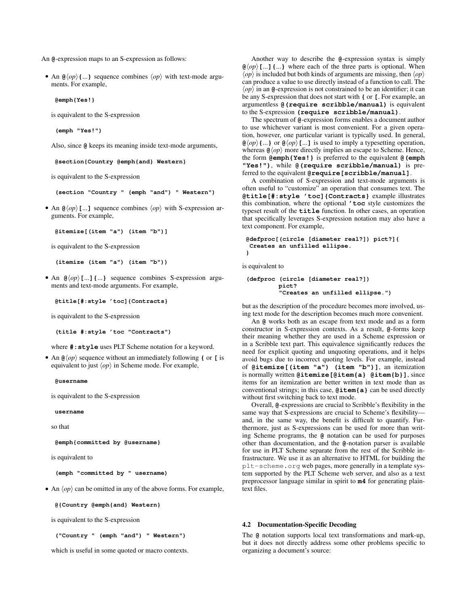An **@**-expression maps to an S-expression as follows:

• An  $\mathcal{Q} \langle op \rangle$  {...} sequence combines  $\langle op \rangle$  with text-mode arguments. For example,

**@emph{Yes!}**

is equivalent to the S-expression

**(emph "Yes!")**

Also, since **@** keeps its meaning inside text-mode arguments,

**@section{Country @emph{and} Western}**

is equivalent to the S-expression

**(section "Country " (emph "and") " Western")**

• An  $\mathfrak{g}\langle op \rangle$  [...] sequence combines  $\langle op \rangle$  with S-expression arguments. For example,

```
@itemize[(item "a") (item "b")]
```
is equivalent to the S-expression

```
(itemize (item "a") (item "b"))
```
• An  $\mathcal{Q} \langle op \rangle$  [...] {...} sequence combines S-expression arguments and text-mode arguments. For example,

**@title[#:style 'toc]{Contracts}**

is equivalent to the S-expression

**(title #:style 'toc "Contracts")**

where **#:style** uses PLT Scheme notation for a keyword.

• An  $\mathfrak{g}\langle op \rangle$  sequence without an immediately following **{** or **[** is equivalent to just  $\langle op \rangle$  in Scheme mode. For example,

**@username**

is equivalent to the S-expression

**username**

so that

**@emph{committed by @username}**

is equivalent to

**(emph "committed by " username)**

• An  $\langle op \rangle$  can be omitted in any of the above forms. For example,

```
@{Country @emph{and} Western}
```
is equivalent to the S-expression

**("Country " (emph "and") " Western")**

which is useful in some quoted or macro contexts.

Another way to describe the **@**-expression syntax is simply  $\mathbf{\Theta}\langle op \rangle$  [...]  $\{...\}$  where each of the three parts is optional. When  $\langle op \rangle$  is included but both kinds of arguments are missing, then  $\langle op \rangle$ can produce a value to use directly instead of a function to call. The  $\langle op \rangle$  in an **@**-expression is not constrained to be an identifier; it can be any S-expression that does not start with **{** or **[**. For example, an argumentless **@(require scribble/manual)** is equivalent to the S-expression **(require scribble/manual)**.

The spectrum of **@**-expression forms enables a document author to use whichever variant is most convenient. For a given operation, however, one particular variant is typically used. In general,  $\mathbb{Q}\langle op \rangle$  {...} or  $\mathbb{Q}\langle op \rangle$  [...] is used to imply a typesetting operation, whereas  $\mathbf{\Theta}\langle op \rangle$  more directly implies an escape to Scheme. Hence, the form **@emph{Yes!}** is preferred to the equivalent **@(emph "Yes!")**, while **@(require scribble/manual)** is preferred to the equivalent **@require[scribble/manual]**.

A combination of S-expression and text-mode arguments is often useful to "customize" an operation that consumes text. The **@title[#:style 'toc]{Contracts}** example illustrates this combination, where the optional **'toc** style customizes the typeset result of the **title** function. In other cases, an operation that specifically leverages S-expression notation may also have a text component. For example,

```
@defproc[(circle [diameter real?]) pict?]{
Creates an unfilled ellipse.
}
```
is equivalent to

```
(defproc (circle [diameter real?])
         pict?
         "Creates an unfilled ellipse.")
```
but as the description of the procedure becomes more involved, using text mode for the description becomes much more convenient.

An **@** works both as an escape from text mode and as a form constructor in S-expression contexts. As a result, **@**-forms keep their meaning whether they are used in a Scheme expression or in a Scribble text part. This equivalence significantly reduces the need for explicit quoting and unquoting operations, and it helps avoid bugs due to incorrect quoting levels. For example, instead of **@itemize[(item "a") (item "b")]**, an itemization is normally written **@itemize[@item{a} @item{b}]**, since items for an itemization are better written in text mode than as conventional strings; in this case, **@item{a}** can be used directly without first switching back to text mode.

Overall, **@**-expressions are crucial to Scribble's flexibility in the same way that S-expressions are crucial to Scheme's flexibility and, in the same way, the benefit is difficult to quantify. Furthermore, just as S-expressions can be used for more than writing Scheme programs, the **@** notation can be used for purposes other than documentation, and the **@**-notation parser is available for use in PLT Scheme separate from the rest of the Scribble infrastructure. We use it as an alternative to HTML for building the plt-scheme.org web pages, more generally in a template system supported by the PLT Scheme web server, and also as a text preprocessor language similar in spirit to **m4** for generating plaintext files.

## 4.2 Documentation-Specific Decoding

The **@** notation supports local text transformations and mark-up, but it does not directly address some other problems specific to organizing a document's source: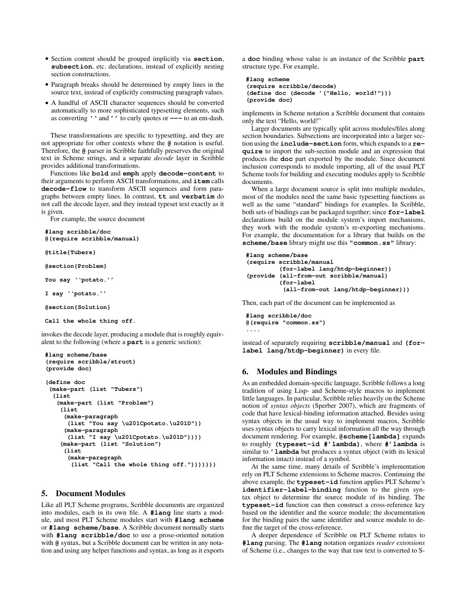- *•* Section content should be grouped implicitly via **section**, **subsection**, etc. declarations, instead of explicitly nesting section constructions.
- *•* Paragraph breaks should be determined by empty lines in the source text, instead of explicitly constructing paragraph values.
- *•* A handful of ASCII character sequences should be converted automatically to more sophisticated typesetting elements, such as converting **''** and **''** to curly quotes or **---** to an em-dash.

These transformations are specific to typesetting, and they are not appropriate for other contexts where the **@** notation is useful. Therefore, the **@** parser in Scribble faithfully preserves the original text in Scheme strings, and a separate *decode* layer in Scribble provides additional transformations.

Functions like **bold** and **emph** apply **decode-content** to their arguments to perform ASCII transformations, and **item** calls **decode-flow** to transform ASCII sequences and form paragraphs between empty lines. In contrast, **tt** and **verbatim** do not call the decode layer, and they instead typeset text exactly as it is given.

For example, the source document

```
#lang scribble/doc
@(require scribble/manual)
```
**@title{Tubers}**

```
@section{Problem}
```
**You say ''potato.''**

**I say ''potato.''**

**@section{Solution}**

```
Call the whole thing off.
```
invokes the decode layer, producing a module that is roughly equivalent to the following (where a **part** is a generic section):

```
#lang scheme/base
(require scribble/struct)
(provide doc)
(define doc
 (make-part (list "Tubers")
  (list
   (make-part (list "Problem")
    (list
     (make-paragraph
      (list "You say \u201Cpotato.\u201D"))
     (make-paragraph
      (list "I say \u201Cpotato.\u201D"))))
    (make-part (list "Solution")
     (list
      (make-paragraph
       (list "Call the whole thing off.")))))))
```
# 5. Document Modules

Like all PLT Scheme programs, Scribble documents are organized into modules, each in its own file. A **#lang** line starts a module, and most PLT Scheme modules start with **#lang scheme** or **#lang scheme/base**. A Scribble document normally starts with **#lang scribble/doc** to use a prose-oriented notation with **@** syntax, but a Scribble document can be written in any notation and using any helper functions and syntax, as long as it exports a **doc** binding whose value is an instance of the Scribble **part** structure type. For example,

```
#lang scheme
(require scribble/decode)
(define doc (decode '("Hello, world!")))
(provide doc)
```
implements in Scheme notation a Scribble document that contains only the text "Hello, world!"

Larger documents are typically split across modules/files along section boundaries. Subsections are incorporated into a larger section using the **include-section** form, which expands to a **require** to import the sub-section module and an expression that produces the **doc** part exported by the module. Since document inclusion corresponds to module importing, all of the usual PLT Scheme tools for building and executing modules apply to Scribble documents.

When a large document source is split into multiple modules, most of the modules need the same basic typesetting functions as well as the same "standard" bindings for examples. In Scribble, both sets of bindings can be packaged together; since **for-label** declarations build on the module system's import mechanisms, they work with the module system's re-exporting mechanisms. For example, the documentation for a library that builds on the **scheme/base** library might use this **"common.ss"** library:

```
#lang scheme/base
(require scribble/manual
         (for-label lang/htdp-beginner))
(provide (all-from-out scribble/manual)
         (for-label
          (all-from-out lang/htdp-beginner)))
```
Then, each part of the document can be implemented as

**#lang scribble/doc @(require "common.ss") ....**

instead of separately requiring **scribble/manual** and **(forlabel lang/htdp-beginner)** in every file.

# 6. Modules and Bindings

As an embedded domain-specific language, Scribble follows a long tradition of using Lisp- and Scheme-style macros to implement little languages. In particular, Scribble relies heavily on the Scheme notion of *syntax objects* (Sperber 2007), which are fragments of code that have lexical-binding information attached. Besides using syntax objects in the usual way to implement macros, Scribble uses syntax objects to carry lexical information all the way through document rendering. For example, **@scheme[lambda]** expands to roughly **(typeset-id #'lambda)**, where **#'lambda** is similar to **'lambda** but produces a syntax object (with its lexical information intact) instead of a symbol.

At the same time, many details of Scribble's implementation rely on PLT Scheme extensions to Scheme macros. Continuing the above example, the **typeset-id** function applies PLT Scheme's **identifier-label-binding** function to the given syntax object to determine the source module of its binding. The **typeset-id** function can then construct a cross-reference key based on the identifier and the source module; the documentation for the binding pairs the same identifier and source module to define the target of the cross-reference.

A deeper dependence of Scribble on PLT Scheme relates to **#lang** parsing. The **#lang** notation organizes *reader extensions* of Scheme (i.e., changes to the way that raw text is converted to S-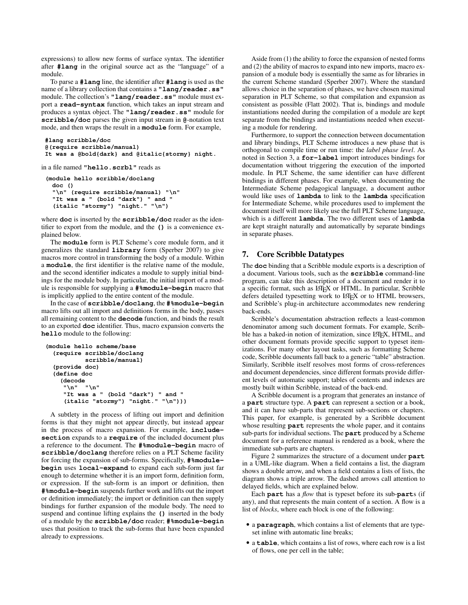expressions) to allow new forms of surface syntax. The identifier after **#lang** in the original source act as the "language" of a module.

To parse a **#lang** line, the identifier after **#lang** is used as the name of a library collection that contains a **"lang/reader.ss"** module. The collection's **"lang/reader.ss"** module must export a **read-syntax** function, which takes an input stream and produces a syntax object. The **"lang/reader.ss"** module for **scribble/doc** parses the given input stream in **@**-notation text mode, and then wraps the result in a **module** form. For example,

```
#lang scribble/doc
@(require scribble/manual)
It was a @bold{dark} and @italic{stormy} night.
```

```
in a file named "hello.scrbl" reads as
```

```
(module hello scribble/doclang
 doc ()
  "\n" (require scribble/manual) "\n"
 "It was a " (bold "dark") " and "
  (italic "stormy") "night." "\n")
```
where **doc** is inserted by the **scribble/doc** reader as the identifier to export from the module, and the **()** is a convenience explained below.

The **module** form is PLT Scheme's core module form, and it generalizes the standard **library** form (Sperber 2007) to give macros more control in transforming the body of a module. Within a **module**, the first identifier is the relative name of the module, and the second identifier indicates a module to supply initial bindings for the module body. In particular, the initial import of a module is responsible for supplying a **#%module-begin** macro that is implicitly applied to the entire content of the module.

In the case of **scribble/doclang**, the **#%module-begin** macro lifts out all import and definitions forms in the body, passes all remaining content to the **decode** function, and binds the result to an exported **doc** identifier. Thus, macro expansion converts the **hello** module to the following:

```
(module hello scheme/base
 (require scribble/doclang
          scribble/manual)
 (provide doc)
 (define doc
    (decode
     "\n" "\n"
     "It was a " (bold "dark") " and "
     (italic "stormy") "night." "\n")))
```
A subtlety in the process of lifting out import and definition forms is that they might not appear directly, but instead appear in the process of macro expansion. For example, **includesection** expands to a **require** of the included document plus a reference to the document. The **#%module-begin** macro of **scribble/doclang** therefore relies on a PLT Scheme facility for forcing the expansion of sub-forms. Specifically, **#%modulebegin** uses **local-expand** to expand each sub-form just far enough to determine whether it is an import form, definition form, or expression. If the sub-form is an import or definition, then **#%module-begin** suspends further work and lifts out the import or definition immediately; the import or definition can then supply bindings for further expansion of the module body. The need to suspend and continue lifting explains the **()** inserted in the body of a module by the **scribble/doc** reader; **#%module-begin** uses that position to track the sub-forms that have been expanded already to expressions.

Aside from (1) the ability to force the expansion of nested forms and (2) the ability of macros to expand into new imports, macro expansion of a module body is essentially the same as for libraries in the current Scheme standard (Sperber 2007). Where the standard allows choice in the separation of phases, we have chosen maximal separation in PLT Scheme, so that compilation and expansion as consistent as possible (Flatt 2002). That is, bindings and module instantiations needed during the compilation of a module are kept separate from the bindings and instantiations needed when executing a module for rendering.

Furthermore, to support the connection between documentation and library bindings, PLT Scheme introduces a new phase that is orthogonal to compile time or run time: the *label phase level*. As noted in Section 3, a **for-label** import introduces bindings for documentation without triggering the execution of the imported module. In PLT Scheme, the same identifier can have different bindings in different phases. For example, when documenting the Intermediate Scheme pedagogical language, a document author would like uses of **lambda** to link to the **lambda** specification for Intermediate Scheme, while procedures used to implement the document itself will more likely use the full PLT Scheme language, which is a different **lambda**. The two different uses of **lambda** are kept straight naturally and automatically by separate bindings in separate phases.

# 7. Core Scribble Datatypes

The **doc** binding that a Scribble module exports is a description of a document. Various tools, such as the **scribble** command-line program, can take this description of a document and render it to a specific format, such as LATEX or HTML. In particular, Scribble defers detailed typesetting work to LATEX or to HTML browsers, and Scribble's plug-in architecture accommodates new rendering back-ends.

Scribble's documentation abstraction reflects a least-common denominator among such document formats. For example, Scribble has a baked-in notion of itemization, since LATEX, HTML, and other document formats provide specific support to typeset itemizations. For many other layout tasks, such as formatting Scheme code, Scribble documents fall back to a generic "table" abstraction. Similarly, Scribble itself resolves most forms of cross-references and document dependencies, since different formats provide different levels of automatic support; tables of contents and indexes are mostly built within Scribble, instead of the back-end.

A Scribble document is a program that generates an instance of a **part** structure type. A **part** can represent a section or a book, and it can have sub-parts that represent sub-sections or chapters. This paper, for example, is generated by a Scribble document whose resulting **part** represents the whole paper, and it contains sub-parts for individual sections. The **part** produced by a Scheme document for a reference manual is rendered as a book, where the immediate sub-parts are chapters.

Figure 2 summarizes the structure of a document under **part** in a UML-like diagram. When a field contains a list, the diagram shows a double arrow, and when a field contains a lists of lists, the diagram shows a triple arrow. The dashed arrows call attention to delayed fields, which are explained below.

Each **part** has a *flow* that is typeset before its sub-**part**s (if any), and that represents the main content of a section. A flow is a list of *blocks*, where each block is one of the following:

- *•* a **paragraph**, which contains a list of elements that are typeset inline with automatic line breaks;
- *•* a **table**, which contains a list of rows, where each row is a list of flows, one per cell in the table;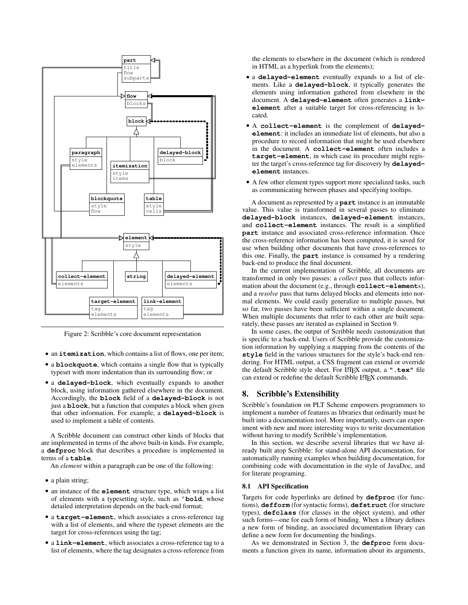

Figure 2: Scribble's core document representation

- *•* an **itemization**, which contains a list of flows, one per item;
- *•* a **blockquote**, which contains a single flow that is typically typeset with more indentation than its surrounding flow; or
- *•* a **delayed-block**, which eventually expands to another block, using information gathered elsewhere in the document. Accordingly, the **block** field of a **delayed-block** is not just a **block**, but a function that computes a block when given that other information. For example, a **delayed-block** is used to implement a table of contents.

A Scribble document can construct other kinds of blocks that are implemented in terms of the above built-in kinds. For example, a **defproc** block that describes a procedure is implemented in terms of a **table**.

An *element* within a paragraph can be one of the following:

- a plain string;
- *•* an instance of the **element** structure type, which wraps a list of elements with a typesetting style, such as **'bold**, whose detailed interpretation depends on the back-end format;
- *•* a **target-element**, which associates a cross-reference tag with a list of elements, and where the typeset elements are the target for cross-references using the tag;
- *•* a **link-element**, which associates a cross-reference tag to a list of elements, where the tag designates a cross-reference from

the elements to elsewhere in the document (which is rendered in HTML as a hyperlink from the elements);

- *•* a **delayed-element** eventually expands to a list of elements. Like a **delayed-block**, it typically generates the elements using information gathered from elsewhere in the document. A **delayed-element** often generates a **linkelement** after a suitable target for cross-referencing is located.
- *•* A **collect-element** is the complement of **delayedelement**: it includes an immediate list of elements, but also a procedure to record information that might be used elsewhere in the document. A **collect-element** often includes a **target-element**, in which case its procedure might register the target's cross-reference tag for discovery by **delayedelement** instances.
- *•* A few other element types support more specialized tasks, such as communicating between phases and specifying tooltips.

A document as represented by a **part** instance is an immutable value. This value is transformed in several passes to eliminate **delayed-block** instances, **delayed-element** instances, and **collect-element** instances. The result is a simplified **part** instance and associated cross-reference information. Once the cross-reference information has been computed, it is saved for use when building other documents that have cross-references to this one. Finally, the **part** instance is consumed by a rendering back-end to produce the final document.

In the current implementation of Scribble, all documents are transformed in only two passes: a *collect* pass that collects information about the document (e.g., through **collect-element**s), and a *resolve* pass that turns delayed blocks and elements into normal elements. We could easily generalize to multiple passes, but so far, two passes have been sufficient within a single document. When multiple documents that refer to each other are built separately, these passes are iterated as explained in Section 9.

In some cases, the output of Scribble needs customization that is specific to a back-end. Users of Scribble provide the customization information by supplying a mapping from the contents of the **style** field in the various structures for the style's back-end rendering. For HTML output, a CSS fragment can extend or override the default Scribble style sheet. For L<sup>H</sup>FX output, a ".tex" file can extend or redefine the default Scribble LHFX commands.

## 8. Scribble's Extensibility

Scribble's foundation on PLT Scheme empowers programmers to implement a number of features as libraries that ordinarily must be built into a documentation tool. More importantly, users can experiment with new and more interesting ways to write documentation without having to modify Scribble's implementation.

In this section, we describe several libraries that we have already built atop Scribble: for stand-alone API documentation, for automatically running examples when building documentation, for combining code with documentation in the style of JavaDoc, and for literate programing.

## 8.1 API Specification

Targets for code hyperlinks are defined by **defproc** (for functions), **defform** (for syntactic forms), **defstruct** (for structure types), **defclass** (for classes in the object system), and other such forms—one for each form of binding. When a library defines a new form of binding, an associated documentation library can define a new form for documenting the bindings.

As we demonstrated in Section 3, the **defproc** form documents a function given its name, information about its arguments,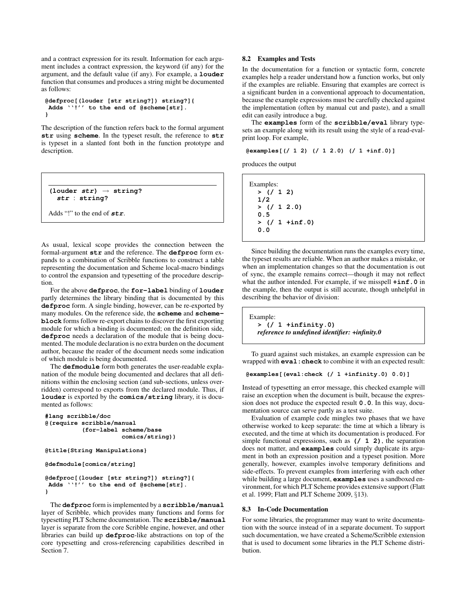and a contract expression for its result. Information for each argument includes a contract expression, the keyword (if any) for the argument, and the default value (if any). For example, a **louder** function that consumes and produces a string might be documented as follows:

```
@defproc[(louder [str string?]) string?]{
Adds ''!'' to the end of @scheme[str].
}
```
The description of the function refers back to the formal argument **str** using **scheme**. In the typeset result, the reference to **str** is typeset in a slanted font both in the function prototype and description.

**(louder** *str***)** → **string?** *str* : **string?**

Adds "!" to the end of *str*.

As usual, lexical scope provides the connection between the formal-argument **str** and the reference. The **defproc** form expands to a combination of Scribble functions to construct a table representing the documentation and Scheme local-macro bindings to control the expansion and typesetting of the procedure description.

For the above **defproc**, the **for-label** binding of **louder** partly determines the library binding that is documented by this **defproc** form. A single binding, however, can be re-exported by many modules. On the reference side, the **scheme** and **schemeblock** forms follow re-export chains to discover the first exporting module for which a binding is documented; on the definition side, **defproc** needs a declaration of the module that is being documented. The module declaration is no extra burden on the document author, because the reader of the document needs some indication of which module is being documented.

The **defmodule** form both generates the user-readable explanation of the module being documented and declares that all definitions within the enclosing section (and sub-sections, unless overridden) correspond to exports from the declared module. Thus, if **louder** is exported by the **comics/string** library, it is documented as follows:

```
#lang scribble/doc
@(require scribble/manual
          (for-label scheme/base
                     comics/string))
@title{String Manipulations}
```

```
@defmodule[comics/string]
```

```
@defproc[(louder [str string?]) string?]{
Adds ''!'' to the end of @scheme[str].
```

```
}
```
The **defproc** form is implemented by a **scribble/manual** layer of Scribble, which provides many functions and forms for typesetting PLT Scheme documentation. The **scribble/manual** layer is separate from the core Scribble engine, however, and other libraries can build up **defproc**-like abstractions on top of the core typesetting and cross-referencing capabilities described in Section 7.

# 8.2 Examples and Tests

In the documentation for a function or syntactic form, concrete examples help a reader understand how a function works, but only if the examples are reliable. Ensuring that examples are correct is a significant burden in a conventional approach to documentation, because the example expressions must be carefully checked against the implementation (often by manual cut and paste), and a small edit can easily introduce a bug.

The **examples** form of the **scribble/eval** library typesets an example along with its result using the style of a read-evalprint loop. For example,

**@examples[(/ 1 2) (/ 1 2.0) (/ 1 +inf.0)]**

produces the output

| Examples:     |                  |
|---------------|------------------|
| $>$ (/ 1 2)   |                  |
| 1/2           |                  |
| $>$ (/ 1 2.0) |                  |
| 0.5           |                  |
|               | $>$ (/ 1 +inf.0) |
| 0.0           |                  |

Since building the documentation runs the examples every time, the typeset results are reliable. When an author makes a mistake, or when an implementation changes so that the documentation is out of sync, the example remains correct—though it may not reflect what the author intended. For example, if we misspell **+inf.0** in the example, then the output is still accurate, though unhelpful in describing the behavior of division:

Example: **> (/ 1 +infinity.0)** *reference to undefined identifier: +infinity.0*

To guard against such mistakes, an example expression can be wrapped with **eval: check** to combine it with an expected result:

#### **@examples[(eval:check (/ 1 +infinity.0) 0.0)]**

Instead of typesetting an error message, this checked example will raise an exception when the document is built, because the expression does not produce the expected result **0.0**. In this way, documentation source can serve partly as a test suite.

Evaluation of example code mingles two phases that we have otherwise worked to keep separate: the time at which a library is executed, and the time at which its documentation is produced. For simple functional expressions, such as **(/ 1 2)**, the separation does not matter, and **examples** could simply duplicate its argument in both an expression position and a typeset position. More generally, however, examples involve temporary definitions and side-effects. To prevent examples from interfering with each other while building a large document, **examples** uses a sandboxed environment, for which PLT Scheme provides extensive support (Flatt et al. 1999; Flatt and PLT Scheme 2009, §13).

#### 8.3 In-Code Documentation

For some libraries, the programmer may want to write documentation with the source instead of in a separate document. To support such documentation, we have created a Scheme/Scribble extension that is used to document some libraries in the PLT Scheme distribution.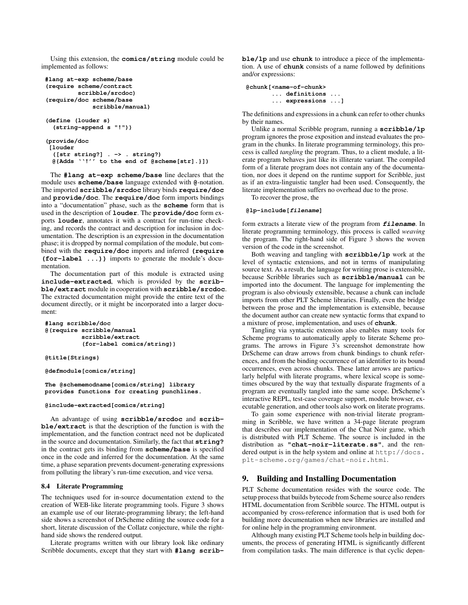Using this extension, the **comics/string** module could be implemented as follows:

```
#lang at-exp scheme/base
(require scheme/contract
         scribble/srcdoc)
(require/doc scheme/base
             scribble/manual)
(define (louder s)
  (string-append s "!"))
(provide/doc
[louder
  ([str string?] . -> . string?)
 @{Adds ''!'' to the end of @scheme[str].}])
```
The **#lang at-exp scheme/base** line declares that the module uses **scheme/base** language extended with **@**-notation. The imported **scribble/srcdoc** library binds **require/doc** and **provide/doc**. The **require/doc** form imports bindings into a "documentation" phase, such as the **scheme** form that is used in the description of **louder**. The **provide/doc** form exports **louder**, annotates it with a contract for run-time checking, and records the contract and description for inclusion in documentation. The description is an expression in the documentation phase; it is dropped by normal compilation of the module, but combined with the **require/doc** imports and inferred **(require (for-label ...))** imports to generate the module's documentation.

The documentation part of this module is extracted using **include-extracted**, which is provided by the **scribble/extract** module in cooperation with **scribble/srcdoc**. The extracted documentation might provide the entire text of the document directly, or it might be incorporated into a larger document:

```
#lang scribble/doc
@(require scribble/manual
          scribble/extract
          (for-label comics/string))
```
**@title{Strings}**

**@defmodule[comics/string]**

**The @schememodname[comics/string] library provides functions for creating punchlines.**

#### **@include-extracted[comics/string]**

An advantage of using **scribble/srcdoc** and **scribble/extract** is that the description of the function is with the implementation, and the function contract need not be duplicated in the source and documentation. Similarly, the fact that **string?** in the contract gets its binding from **scheme/base** is specified once in the code and inferred for the documentation. At the same time, a phase separation prevents document-generating expressions from polluting the library's run-time execution, and vice versa.

#### 8.4 Literate Programming

The techniques used for in-source documentation extend to the creation of WEB-like literate programming tools. Figure 3 shows an example use of our literate-programming library; the left-hand side shows a screenshot of DrScheme editing the source code for a short, literate discussion of the Collatz conjecture, while the righthand side shows the rendered output.

Literate programs written with our library look like ordinary Scribble documents, except that they start with **#lang scrib-** **ble/lp** and use **chunk** to introduce a piece of the implementation. A use of **chunk** consists of a name followed by definitions and/or expressions:

```
@chunk[<name-of-chunk>
       ... definitions ...
       ... expressions ...]
```
The definitions and expressions in a chunk can refer to other chunks by their names.

Unlike a normal Scribble program, running a **scribble/lp** program ignores the prose exposition and instead evaluates the program in the chunks. In literate programming terminology, this process is called *tangling* the program. Thus, to a client module, a literate program behaves just like its illiterate variant. The compiled form of a literate program does not contain any of the documentation, nor does it depend on the runtime support for Scribble, just as if an extra-linguistic tangler had been used. Consequently, the literate implementation suffers no overhead due to the prose.

To recover the prose, the

#### **@lp-include[***filename***]**

form extracts a literate view of the program from *filename*. In literate programming terminology, this process is called *weaving* the program. The right-hand side of Figure 3 shows the woven version of the code in the screenshot.

Both weaving and tangling with **scribble/lp** work at the level of syntactic extensions, and not in terms of manipulating source text. As a result, the language for writing prose is extensible, because Scribble libraries such as **scribble/manual** can be imported into the document. The language for implementing the program is also obviously extensible, because a chunk can include imports from other PLT Scheme libraries. Finally, even the bridge between the prose and the implementation is extensible, because the document author can create new syntactic forms that expand to a mixture of prose, implementation, and uses of **chunk**.

Tangling via syntactic extension also enables many tools for Scheme programs to automatically apply to literate Scheme programs. The arrows in Figure 3's screenshot demonstrate how DrScheme can draw arrows from chunk bindings to chunk references, and from the binding occurrence of an identifier to its bound occurrences, even across chunks. These latter arrows are particularly helpful with literate programs, where lexical scope is sometimes obscured by the way that textually disparate fragments of a program are eventually tangled into the same scope. DrScheme's interactive REPL, test-case coverage support, module browser, executable generation, and other tools also work on literate programs.

To gain some experience with non-trivial literate programming in Scribble, we have written a 34-page literate program that describes our implementation of the Chat Noir game, which is distributed with PLT Scheme. The source is included in the distribution as **"chat-noir-literate.ss"**, and the rendered output is in the help system and online at http://docs. plt-scheme.org/games/chat-noir.html.

# 9. Building and Installing Documentation

PLT Scheme documentation resides with the source code. The setup process that builds bytecode from Scheme source also renders HTML documentation from Scribble source. The HTML output is accompanied by cross-reference information that is used both for building more documentation when new libraries are installed and for online help in the programming environment.

Although many existing PLT Scheme tools help in building documents, the process of generating HTML is significantly different from compilation tasks. The main difference is that cyclic depen-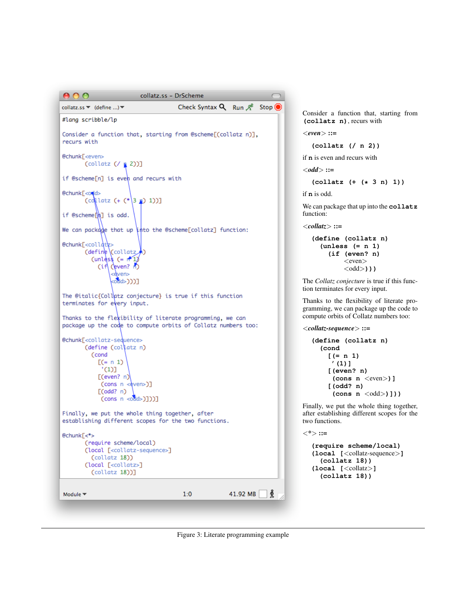```
000collatz.ss - DrScheme
                                          Check Syntax Q Run \mathcal{R}^e Stop \odotcollatz.ss ▼ (define ...) ▼
#lang scribble/lp
Consider a function that, starting from @scheme[(collatz n)],
recurs with
@chunk[<even>
        \text{(collatz } (\text{/ } \text{ } \text{ } 2))]
if @scheme[n] is even and recurs with
@chunk[<ocd>
        (cd|1atz (+ (*|3)) 1))]if @scheme[nal] is odd.
We can packdoe that up into the @scheme[collatz] function:
@chunk[<colldtb
        (define (collatz)
          (unl ds (= n \n  1)(i \nmid (even? \binom{n}{k}<dven>
                  codd>)))]
The @italic{Collatz conjecture} is true if this function
terminates for every input.
Thanks to the flexibility of literate programming, we can
package up the code to compute orbits of Collatz numbers too:
@chunk[<collatz-sequence>
        (define (collatz n)
          Cond
             [(- n 1)]'(1)]
             [(even? n)]\frac{1}{2} (cons n < \frac{1}{2} ven > \frac{1}{2}[({odd} ? n)]\frac{1}{2} (cons n <odd>)]))]
Finally, we put the whole thing together, after
establishing different scopes for the two functions.
@chunk[<*>
        (require scheme/local)
        (local [<collatz-sequence>]
          (collatz 18))
        (local [<collatz>]
          \text{(collatz 18)}41.92 \, \text{MB} \frac{8}{5}Module \blacktriangledown1:0
```
Consider a function that, starting from **(collatz n)**, recurs with

*<even>* ::=

**(collatz (/ n 2))**

if **n** is even and recurs with

*<odd>* ::=

**(collatz (+ (\* 3 n) 1))**

if **n** is odd.

We can package that up into the **collatz** function:

*<collatz>* ::=

```
(define (collatz n)
 (unless (= n 1)
    (if (even? n)
        <even>
        <odd>)))
```
The *Collatz conjecture* is true if this function terminates for every input.

Thanks to the flexibility of literate programming, we can package up the code to compute orbits of Collatz numbers too:

*<collatz-sequence>* ::=

```
(define (collatz n)
  (cond
    [(= n 1)
      '(1)]
    [(even? n)
     (cons n <even>)]
    [(odd? n)
     (cons n <odd>)]))
```
Finally, we put the whole thing together, after establishing different scopes for the two functions.

*<\*>* ::=

```
(require scheme/local)
(local [<collatz-sequence>]
  (collatz 18))
(local [<collatz>]
  (collatz 18))
```
Figure 3: Literate programming example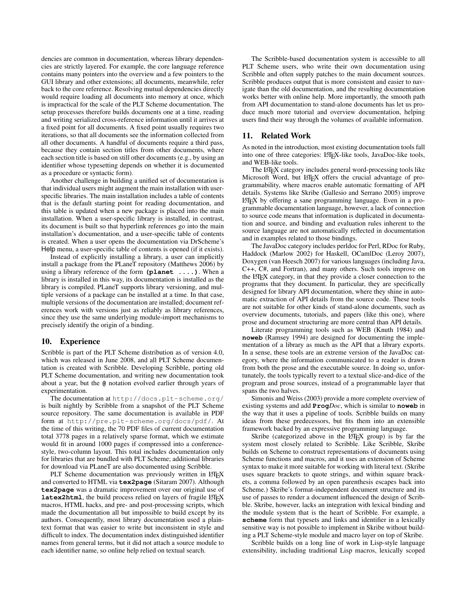dencies are common in documentation, whereas library dependencies are strictly layered. For example, the core language reference contains many pointers into the overview and a few pointers to the GUI library and other extensions; all documents, meanwhile, refer back to the core reference. Resolving mutual dependencies directly would require loading all documents into memory at once, which is impractical for the scale of the PLT Scheme documentation. The setup processes therefore builds documents one at a time, reading and writing serialized cross-reference information until it arrives at a fixed point for all documents. A fixed point usually requires two iterations, so that all documents see the information collected from all other documents. A handful of documents require a third pass, because they contain section titles from other documents, where each section title is based on still other documents (e.g., by using an identifier whose typesetting depends on whether it is documented as a procedure or syntactic form).

Another challenge in building a unified set of documentation is that individual users might augment the main installation with userspecific libraries. The main installation includes a table of contents that is the default starting point for reading documentation, and this table is updated when a new package is placed into the main installation. When a user-specific library is installed, in contrast, its document is built so that hyperlink references go into the main installation's documentation, and a user-specific table of contents is created. When a user opens the documentation via DrScheme's Help menu, a user-specific table of contents is opened (if it exists).

Instead of explicitly installing a library, a user can implicitly install a package from the PLaneT repository (Matthews 2006) by using a library reference of the form **(planet ....)**. When a library is installed in this way, its documentation is installed as the library is compiled. PLaneT supports library versioning, and multiple versions of a package can be installed at a time. In that case, multiple versions of the documentation are installed; document references work with versions just as reliably as library references, since they use the same underlying module-import mechanisms to precisely identify the origin of a binding.

## 10. Experience

Scribble is part of the PLT Scheme distribution as of version 4.0, which was released in June 2008, and all PLT Scheme documentation is created with Scribble. Developing Scribble, porting old PLT Scheme documentation, and writing new documentation took about a year, but the **@** notation evolved earlier through years of experimentation.

The documentation at http://docs.plt-scheme.org/ is built nightly by Scribble from a snapshot of the PLT Scheme source repository. The same documentation is available in PDF form at http://pre.plt-scheme.org/docs/pdf/. At the time of this writing, the 70 PDF files of current documentation total 3778 pages in a relatively sparse format, which we estimate would fit in around 1000 pages if compressed into a conferencestyle, two-column layout. This total includes documentation only for libraries that are bundled with PLT Scheme; additional libraries for download via PLaneT are also documented using Scribble.

PLT Scheme documentation was previously written in LATEX and converted to HTML via **tex2page** (Sitaram 2007). Although **tex2page** was a dramatic improvement over our original use of **latex2html**, the build process relied on layers of fragile LATEX macros, HTML hacks, and pre- and post-processing scripts, which made the documentation all but impossible to build except by its authors. Consequently, most library documentation used a plaintext format that was easier to write but inconsistent in style and difficult to index. The documentation index distinguished identifier names from general terms, but it did not attach a source module to each identifier name, so online help relied on textual search.

The Scribble-based documentation system is accessible to all PLT Scheme users, who write their own documentation using Scribble and often supply patches to the main document sources. Scribble produces output that is more consistent and easier to navigate than the old documentation, and the resulting documentation works better with online help. More importantly, the smooth path from API documentation to stand-alone documents has let us produce much more tutorial and overview documentation, helping users find their way through the volumes of available information.

# 11. Related Work

As noted in the introduction, most existing documentation tools fall into one of three categories: LATEX-like tools, JavaDoc-like tools, and WEB-like tools.

The LATEX category includes general word-processing tools like Microsoft Word, but LATEX offers the crucial advantage of programmability, where macros enable automatic formatting of API details. Systems like Skribe (Gallesio and Serrano 2005) improve LATEX by offering a sane programming language. Even in a programmable documentation language, however, a lack of connection to source code means that information is duplicated in documentation and source, and binding and evaluation rules inherent to the source language are not automatically reflected in documentation and in examples related to those bindings.

The JavaDoc category includes perldoc for Perl, RDoc for Ruby, Haddock (Marlow 2002) for Haskell, OCamlDoc (Leroy 2007), Doxygen (van Heesch 2007) for various languages (including Java, C++, C#, and Fortran), and many others. Such tools improve on the LATEX category, in that they provide a closer connection to the programs that they document. In particular, they are specifically designed for library API documentation, where they shine in automatic extraction of API details from the source code. These tools are not suitable for other kinds of stand-alone documents, such as overview documents, tutorials, and papers (like this one), where prose and document structuring are more central than API details.

Literate programming tools such as WEB (Knuth 1984) and **noweb** (Ramsey 1994) are designed for documenting the implementation of a library as much as the API that a library exports. In a sense, these tools are an extreme version of the JavaDoc category, where the information communicated to a reader is drawn from both the prose and the executable source. In doing so, unfortunately, the tools typically revert to a textual slice-and-dice of the program and prose sources, instead of a programmable layer that spans the two halves.

Simonis and Weiss (2003) provide a more complete overview of existing systems and add **Prog***Doc*, which is similar to **noweb** in the way that it uses a pipeline of tools. Scribble builds on many ideas from these predecessors, but fits them into an extensible framework backed by an expressive programming language.

Skribe (categorized above in the LATEX group) is by far the system most closely related to Scribble. Like Scribble, Skribe builds on Scheme to construct representations of documents using Scheme functions and macros, and it uses an extension of Scheme syntax to make it more suitable for working with literal text. (Skribe uses square brackets to quote strings, and within square brackets, a comma followed by an open parenthesis escapes back into Scheme.) Skribe's format-independent document structure and its use of passes to render a document influenced the design of Scribble. Skribe, however, lacks an integration with lexical binding and the module system that is the heart of Scribble. For example, a **scheme** form that typesets and links and identifier in a lexically sensitive way is not possible to implement in Skribe without building a PLT Scheme-style module and macro layer on top of Skribe.

Scribble builds on a long line of work in Lisp-style language extensibility, including traditional Lisp macros, lexically scoped